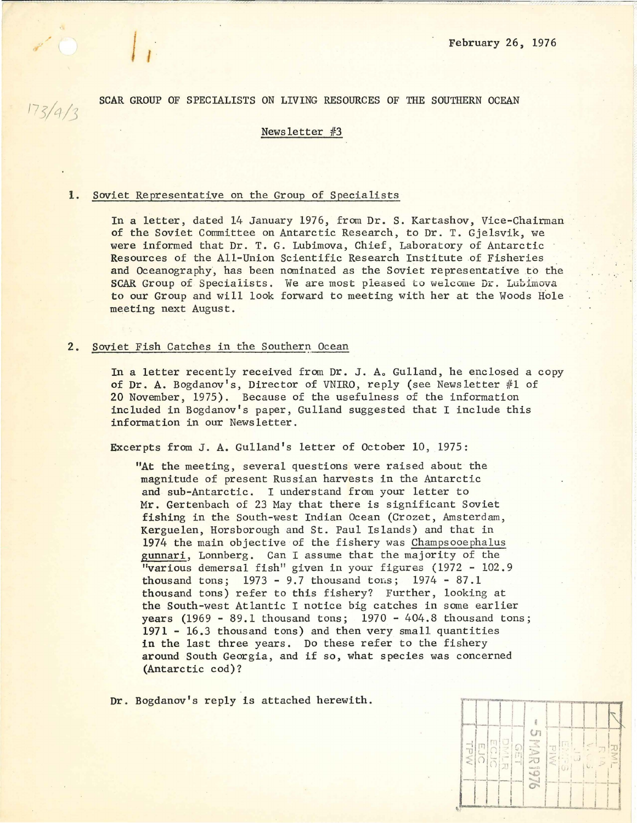SCAR GROUP OF SPECIALISTS ON LIVING RESOURCES OF THE SOUTHERN OCEAN

~--~~---------------- -- - ------~ ;---------~------~----------------~~------~-----------------

# Newsletter #3

#### l. Soviet Representative on the Group of Specialists

 $173/4/3$ 

In a letter, dated 14 January 1976, from Dr. S. Kartashov, Vice-Chairman of the Soviet Committee on Antarctic Research, to Dr. T. Gjelsvik, we were informed that Dr. T. G. Lubimova, Chief, Laboratory of Antarctic Resources of the All-Union Scientific Research Institute of Fisheries and Oceanography, has been nominated as the Soviet representative to the SCAR Group of Specialists. We are most pleased to welcome Dr. Lubimova to our Group and wi 11 look forward to meeting with her at the Woods Hole meeting next August.

## 2. Soviet Fish Catches in the Southern Ocean

In a letter recently received from Dr. J. A. Gulland, he enclosed a copy of Dr. A. Bogdanov's, Director of VNIRO, reply (see Newsletter #1 of 20 November, 1975). Because of the usefulness of the information included in Bogdanov's paper, Gulland suggested that I include this information in our Newsletter.

Excerpts from J. A. Gulland's letter of October 10, 1975:

"At the meeting, several questions were raised about the magnitude of present Russian harvests in the Antarctic and sub-Antarctic. I understand from your letter to Mr. Gertenbach of 23 May that there is significant Soviet fishing in the South-west Indian Ocean (Crozet, Amsterdam, Kerguelen, Horsborough and St. Paul Islands) and that in 1974 the main objective of the fishery was Champsooe phalus gunnari, Lonnberg. Can I assume that the majority of the "various demersal fish" given in your figures  $(1972 - 102.9)$ thousand tons;  $1973 - 9.7$  thousand tons;  $1974 - 87.1$ thousand tons) refer to this fishery? Further, looking at the South-west Atlantic I notice big catches in some earlier years  $(1969 - 89.1$  thousand tons;  $1970 - 404.8$  thousand tons; 1971 - 16.3 thousand tons) and then very small quantities in the last three years. Do these refer to the fishery around South Georgia, and if so, what species was concerned (Antarctic cod)?

Dr. Bogdanov's reply is attached herewith.

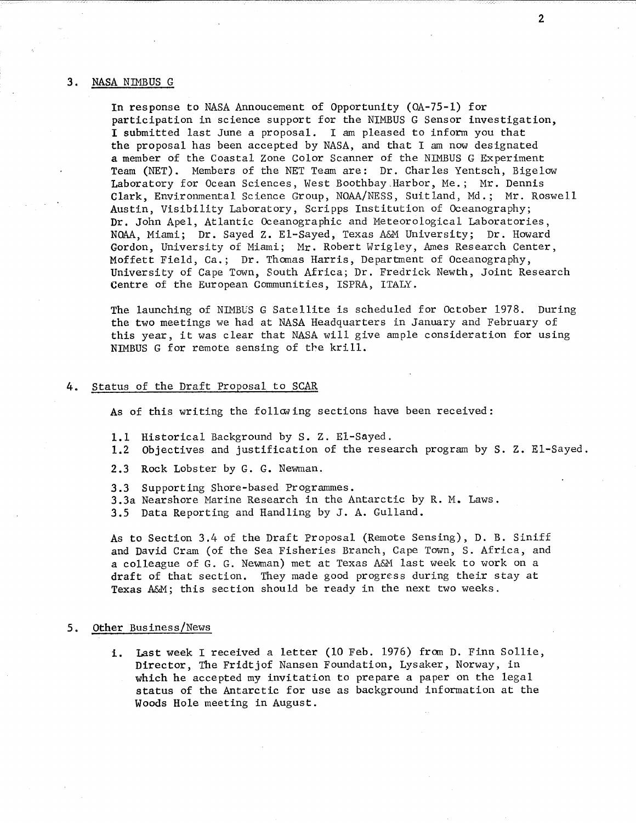### 3. NASA NIMBUS G

In response to NASA Annoucement of Opportunity (OA-75-1) for participation in science support for the NIMBUS G Sensor investigation, I submitted last June a proposal. I am pleased to inform you that the proposal has been accepted by NASA, and that I am now designated a member of the Coastal Zone Calor Scanner of the NIMBUS G Experiment Team (NET). Members of the NET Team are: Dr. Charles Yentsch, Bigelow Laboratory for Ocean Sciences, West Boothbay .Harbor, Me.; Mr. Dennis Clark, Environmental Science Group, NOAA/NESS, Suitland, Md.; Mr. Roswell Austin, Visibility Laboratory, Scripps Institution of Oceanography; Dr. John Apel, Atlantic Oceanographic and Meteorological Laboratories, NOAA, Miami; Dr. Sayed z. El-Sayed, Texas A&M University; Dr. Howard Gordon, University of Miami; Mr. Robert Wrigley, Ames Research Center, Moffett Field, Ca.; Dr. Thomas Harris, Department of Oceanography, University of Cape Town, South Africa; Dr. Fredrick Newth, Joint Research Centre of the European Communities, ISPRA, ITALY.

The launching of NIMBUS G Satellite is scheduled for October 1978. During the two meetings we had at NASA Headquarters in January and February of this year, it was clear that NASA will give ample consideration for using NIMBUS G for remote sensing of the krill.

### 4. Status of the Draft Proposal to SCAR

As of this writing the following sections have been received:

- 1.1 Historical Background by S. Z. El-Sayed.
- 1.2 Objectives and justification of the research program by S. z. El-Sayed.
- 2.3 Rock Lobster by G. G. Newman.
- 3.3 Supporting Shore-based Programmes.
- 3.3a Nearshore Marine Research in the Antarctic by R. M. Laws.
- 3.5 Data Reporting and Handling by J. A. Gulland.

As to Section 3.4 of the Draft Proposal (Remote Sensing), D. B. Siniff and David Cram (of the Sea Fisheries Branch, Cape Town, S. Africa, and a colleague of G. G. Newman) met at Texas A&M last week to work on a draft of that section. They made good progress during their stay at Texas A&M; this section should be ready in the next two weeks.

### 5. Other Business/News

i. Last week I received a letter (10 Feb. 1976) from D. Finn Sollie, Director, The Fridtjof Nansen Foundation, Lysaker, Norway, in which he accepted my invitation to prepare a paper on the legal status of the Antarctic for use as background information at the Woods Hole meeting in August.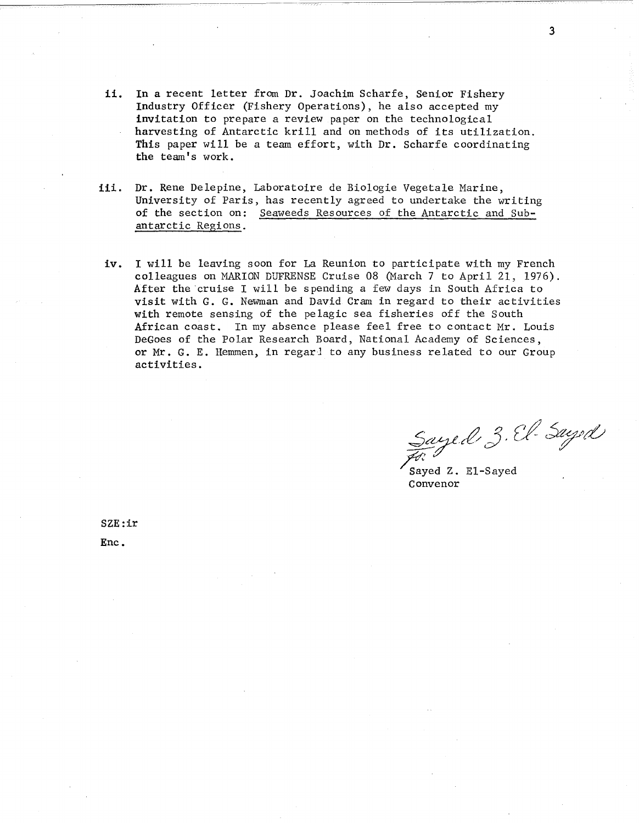- ii. In a recent letter from Dr. Joachim Scharfe, Senior Fishery Industry Officer (Fishery Operations), he also accepted my invitation to prepare a review paper on the technological harvesting of Antarctic krill and on methods of its utilization. This paper will be a team effort, with Dr. Scharfe coordinating the team's work.
- iii. Dr. Rene Delepine, Laboratoire de Biologie Vegetale Marine, University of Paris, has recently agreed to undertake the writing of the section on: Seaweeds Resources of the Antarctic and Subantarctic Regions.
- iv. I will be leaving soon for La Reunion to participate with my French colleagues on MARION DUFRENSE Cruise 08 (March 7 to April 21, 1976). After the cruise I will be spending a few days in South Africa to visit with G. G. Newman and David Cram in regard to their activities with remote sensing of the pelagic sea fisheries off the South African coast. In my absence please feel free to contact Mr. Louis DeGoes of the Polar Research Board, National Academy of Sciences, or Mr. G. E. Hemmen, in regar! to any business related to our Group activities.

 $Sayed, 3. \mathcal{C}l$ - Suyed

Sayed Z. El-Sayed Convenor

SZE:ir Enc.